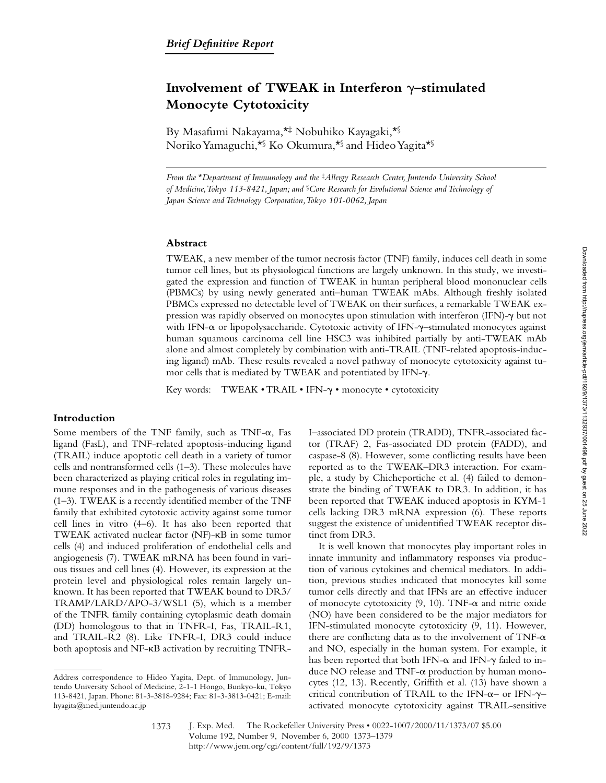# Involvement of TWEAK in Interferon  $\gamma$ -stimulated **Monocyte Cytotoxicity**

By Masafumi Nakayama,\*‡ Nobuhiko Kayagaki,\*§ Noriko Yamaguchi,\*§ Ko Okumura,\*§ and Hideo Yagita\*§

*From the* \**Department of Immunology and the* ‡*Allergy Research Center, Juntendo University School of Medicine, Tokyo 113-8421, Japan; and* §*Core Research for Evolutional Science and Technology of Japan Science and Technology Corporation, Tokyo 101-0062, Japan*

## **Abstract**

TWEAK, a new member of the tumor necrosis factor (TNF) family, induces cell death in some tumor cell lines, but its physiological functions are largely unknown. In this study, we investigated the expression and function of TWEAK in human peripheral blood mononuclear cells (PBMCs) by using newly generated anti–human TWEAK mAbs. Although freshly isolated PBMCs expressed no detectable level of TWEAK on their surfaces, a remarkable TWEAK expression was rapidly observed on monocytes upon stimulation with interferon (IFN)- $\gamma$  but not with IFN- $\alpha$  or lipopolysaccharide. Cytotoxic activity of IFN- $\gamma$ -stimulated monocytes against human squamous carcinoma cell line HSC3 was inhibited partially by anti-TWEAK mAb alone and almost completely by combination with anti-TRAIL (TNF-related apoptosis-inducing ligand) mAb. These results revealed a novel pathway of monocyte cytotoxicity against tumor cells that is mediated by TWEAK and potentiated by IFN- $\gamma$ .

Key words: TWEAK • TRAIL • IFN-g • monocyte • cytotoxicity

## **Introduction**

Some members of the TNF family, such as TNF- $\alpha$ , Fas ligand (FasL), and TNF-related apoptosis-inducing ligand (TRAIL) induce apoptotic cell death in a variety of tumor cells and nontransformed cells (1–3). These molecules have been characterized as playing critical roles in regulating immune responses and in the pathogenesis of various diseases (1–3). TWEAK is a recently identified member of the TNF family that exhibited cytotoxic activity against some tumor cell lines in vitro (4–6). It has also been reported that TWEAK activated nuclear factor (NF)-kB in some tumor cells (4) and induced proliferation of endothelial cells and angiogenesis (7). TWEAK mRNA has been found in various tissues and cell lines (4). However, its expression at the protein level and physiological roles remain largely unknown. It has been reported that TWEAK bound to DR3/ TRAMP/LARD/APO-3/WSL1 (5), which is a member of the TNFR family containing cytoplasmic death domain (DD) homologous to that in TNFR-I, Fas, TRAIL-R1, and TRAIL-R2 (8). Like TNFR-I, DR3 could induce both apoptosis and NF-kB activation by recruiting TNFR-

I–associated DD protein (TRADD), TNFR-associated factor (TRAF) 2, Fas-associated DD protein (FADD), and caspase-8 (8). However, some conflicting results have been reported as to the TWEAK–DR3 interaction. For example, a study by Chicheportiche et al. (4) failed to demonstrate the binding of TWEAK to DR3. In addition, it has been reported that TWEAK induced apoptosis in KYM-1 cells lacking DR3 mRNA expression (6). These reports suggest the existence of unidentified TWEAK receptor distinct from DR3.

It is well known that monocytes play important roles in innate immunity and inflammatory responses via production of various cytokines and chemical mediators. In addition, previous studies indicated that monocytes kill some tumor cells directly and that IFNs are an effective inducer of monocyte cytotoxicity  $(9, 10)$ . TNF- $\alpha$  and nitric oxide (NO) have been considered to be the major mediators for IFN-stimulated monocyte cytotoxicity (9, 11). However, there are conflicting data as to the involvement of TNF- $\alpha$ and NO, especially in the human system. For example, it has been reported that both IFN- $\alpha$  and IFN- $\gamma$  failed to induce NO release and TNF-a production by human monocytes (12, 13). Recently, Griffith et al. (13) have shown a critical contribution of TRAIL to the IFN- $\alpha$ – or IFN- $\gamma$ – activated monocyte cytotoxicity against TRAIL-sensitive

Downloaded from http://rupress.org/jem/article-pdf/192/9/1373/1132937/001498.pdf by guest on 25 June 2022 Downloaded from http://rupress.org/jem/article-pdf/192/9/1373/1132937/001498.pdf by guest on 25 June 2022

Address correspondence to Hideo Yagita, Dept. of Immunology, Juntendo University School of Medicine, 2-1-1 Hongo, Bunkyo-ku, Tokyo 113-8421, Japan. Phone: 81-3-3818-9284; Fax: 81-3-3813-0421; E-mail: hyagita@med.juntendo.ac.jp

J. Exp. Med. © The Rockefeller University Press • 0022-1007/2000/11/1373/07 \$5.00 Volume 192, Number 9, November 6, 2000 1373–1379 http://www.jem.org/cgi/content/full/192/9/1373 1373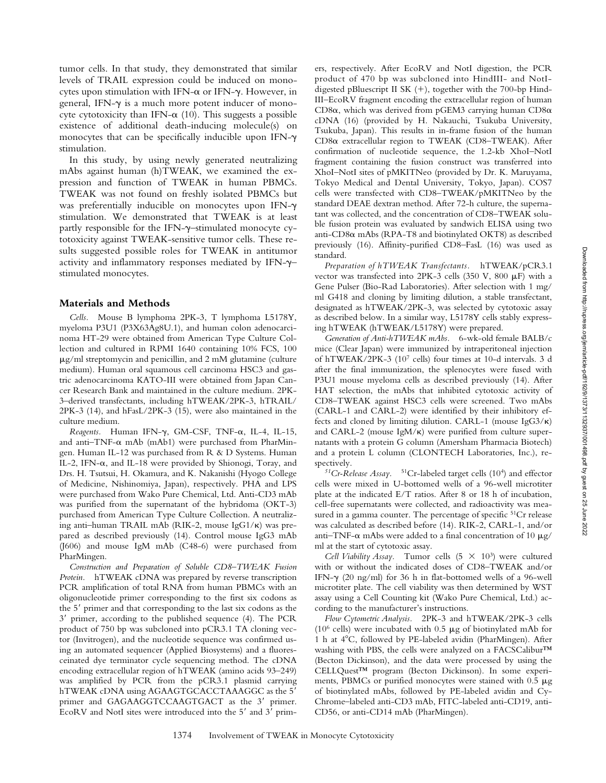tumor cells. In that study, they demonstrated that similar levels of TRAIL expression could be induced on monocytes upon stimulation with IFN- $\alpha$  or IFN- $\gamma$ . However, in general, IFN- $\gamma$  is a much more potent inducer of monocyte cytotoxicity than IFN- $\alpha$  (10). This suggests a possible existence of additional death-inducing molecule(s) on monocytes that can be specifically inducible upon IFN- $\gamma$ stimulation.

In this study, by using newly generated neutralizing mAbs against human (h)TWEAK, we examined the expression and function of TWEAK in human PBMCs. TWEAK was not found on freshly isolated PBMCs but was preferentially inducible on monocytes upon IFN- $\gamma$ stimulation. We demonstrated that TWEAK is at least partly responsible for the IFN- $\gamma$ -stimulated monocyte cytotoxicity against TWEAK-sensitive tumor cells. These results suggested possible roles for TWEAK in antitumor activity and inflammatory responses mediated by IFN- $\gamma$ – stimulated monocytes.

#### **Materials and Methods**

*Cells.* Mouse B lymphoma 2PK-3, T lymphoma L5178Y, myeloma P3U1 (P3X63Ag8U.1), and human colon adenocarcinoma HT-29 were obtained from American Type Culture Collection and cultured in RPMI 1640 containing 10% FCS, 100  $\mu$ g/ml streptomycin and penicillin, and 2 mM glutamine (culture medium). Human oral squamous cell carcinoma HSC3 and gastric adenocarcinoma KATO-III were obtained from Japan Cancer Research Bank and maintained in the culture medium. 2PK-3–derived transfectants, including hTWEAK/2PK-3, hTRAIL/ 2PK-3 (14), and hFasL/2PK-3 (15), were also maintained in the culture medium.

*Reagents.* Human IFN-g, GM-CSF, TNF-a, IL-4, IL-15, and anti-TNF- $\alpha$  mAb (mAb1) were purchased from PharMingen. Human IL-12 was purchased from R & D Systems. Human IL-2, IFN- $\alpha$ , and IL-18 were provided by Shionogi, Toray, and Drs. H. Tsutsui, H. Okamura, and K. Nakanishi (Hyogo College of Medicine, Nishinomiya, Japan), respectively. PHA and LPS were purchased from Wako Pure Chemical, Ltd. Anti-CD3 mAb was purified from the supernatant of the hybridoma (OKT-3) purchased from American Type Culture Collection. A neutralizing anti–human TRAIL mAb (RIK-2, mouse IgG1/k) was prepared as described previously (14). Control mouse IgG3 mAb (J606) and mouse IgM mAb (C48-6) were purchased from PharMingen.

*Construction and Preparation of Soluble CD8–TWEAK Fusion Protein.* hTWEAK cDNA was prepared by reverse transcription PCR amplification of total RNA from human PBMCs with an oligonucleotide primer corresponding to the first six codons as the 5' primer and that corresponding to the last six codons as the 3' primer, according to the published sequence (4). The PCR product of 750 bp was subcloned into pCR3.1 TA cloning vector (Invitrogen), and the nucleotide sequence was confirmed using an automated sequencer (Applied Biosystems) and a fluoresceinated dye terminator cycle sequencing method. The cDNA encoding extracellular region of hTWEAK (amino acids 93–249) was amplified by PCR from the pCR3.1 plasmid carrying hTWEAK cDNA using AGAAGTGCACCTAAAGGC as the 5' primer and GAGAAGGTCCAAGTGACT as the 3' primer. EcoRV and NotI sites were introduced into the  $5'$  and  $3'$  primers, respectively. After EcoRV and NotI digestion, the PCR product of 470 bp was subcloned into HindIII- and NotIdigested pBluescript II SK  $(+)$ , together with the 700-bp Hind-III–EcoRV fragment encoding the extracellular region of human CD8 $\alpha$ , which was derived from pGEM3 carrying human CD8 $\alpha$ cDNA (16) (provided by H. Nakauchi, Tsukuba University, Tsukuba, Japan). This results in in-frame fusion of the human CD8a extracellular region to TWEAK (CD8–TWEAK). After confirmation of nucleotide sequence, the 1.2-kb XhoI–NotI fragment containing the fusion construct was transferred into XhoI–NotI sites of pMKITNeo (provided by Dr. K. Maruyama, Tokyo Medical and Dental University, Tokyo, Japan). COS7 cells were transfected with CD8–TWEAK/pMKITNeo by the standard DEAE dextran method. After 72-h culture, the supernatant was collected, and the concentration of CD8–TWEAK soluble fusion protein was evaluated by sandwich ELISA using two anti-CD8a mAbs (RPA-T8 and biotinylated OKT8) as described previously (16). Affinity-purified CD8–FasL (16) was used as standard.

*Preparation of hTWEAK Transfectants.* hTWEAK/pCR3.1 vector was transfected into 2PK-3 cells (350 V, 800  $\mu$ F) with a Gene Pulser (Bio-Rad Laboratories). After selection with 1 mg/ ml G418 and cloning by limiting dilution, a stable transfectant, designated as hTWEAK/2PK-3, was selected by cytotoxic assay as described below. In a similar way, L5178Y cells stably expressing hTWEAK (hTWEAK/L5178Y) were prepared.

*Generation of Anti-hTWEAK mAbs.* 6-wk-old female BALB/c mice (Clear Japan) were immunized by intraperitoneal injection of hTWEAK/2PK-3 (107 cells) four times at 10-d intervals. 3 d after the final immunization, the splenocytes were fused with P3U1 mouse myeloma cells as described previously (14). After HAT selection, the mAbs that inhibited cytotoxic activity of CD8–TWEAK against HSC3 cells were screened. Two mAbs (CARL-1 and CARL-2) were identified by their inhibitory effects and cloned by limiting dilution. CARL-1 (mouse  $\text{IgG3/}\kappa$ ) and CARL-2 (mouse IgM/ $\kappa$ ) were purified from culture supernatants with a protein G column (Amersham Pharmacia Biotech) and a protein L column (CLONTECH Laboratories, Inc.), respectively.

*51Cr-Release Assay.* 51Cr-labeled target cells (104) and effector cells were mixed in U-bottomed wells of a 96-well microtiter plate at the indicated E/T ratios. After 8 or 18 h of incubation, cell-free supernatants were collected, and radioactivity was measured in a gamma counter. The percentage of specific <sup>51</sup>Cr release was calculated as described before (14). RIK-2, CARL-1, and/or anti-TNF- $\alpha$  mAbs were added to a final concentration of 10  $\mu$ g/ ml at the start of cytotoxic assay.

*Cell Viability Assay.* Tumor cells  $(5 \times 10^3)$  were cultured with or without the indicated doses of CD8–TWEAK and/or IFN- $\gamma$  (20 ng/ml) for 36 h in flat-bottomed wells of a 96-well microtiter plate. The cell viability was then determined by WST assay using a Cell Counting kit (Wako Pure Chemical, Ltd.) according to the manufacturer's instructions.

*Flow Cytometric Analysis.* 2PK-3 and hTWEAK/2PK-3 cells (10<sup>6</sup> cells) were incubated with 0.5  $\mu$ g of biotinylated mAb for 1 h at  $4^{\circ}$ C, followed by PE-labeled avidin (PharMingen). After washing with PBS, the cells were analyzed on a FACSCalibur™ (Becton Dickinson), and the data were processed by using the CELLQuest™ program (Becton Dickinson). In some experiments, PBMCs or purified monocytes were stained with  $0.5 \mu g$ of biotinylated mAbs, followed by PE-labeled avidin and Cy-Chrome–labeled anti-CD3 mAb, FITC-labeled anti-CD19, anti-CD56, or anti-CD14 mAb (PharMingen).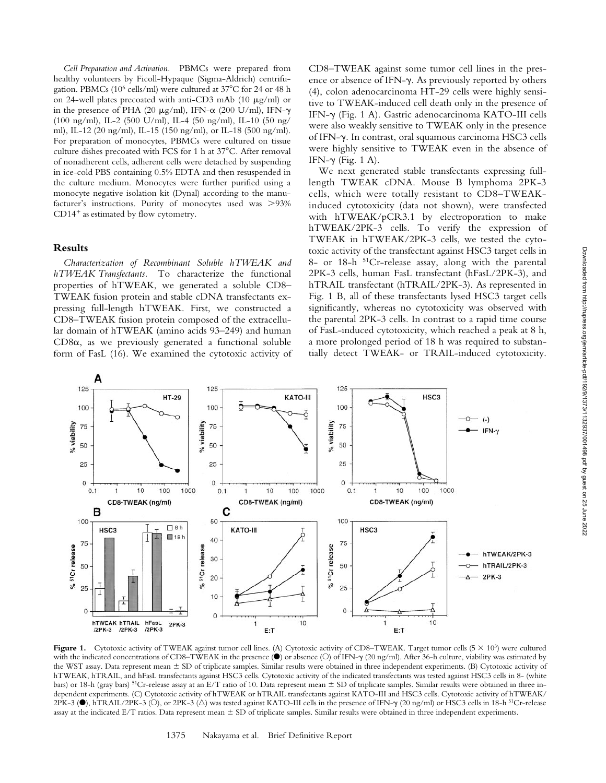*Cell Preparation and Activation.* PBMCs were prepared from healthy volunteers by Ficoll-Hypaque (Sigma-Aldrich) centrifugation. PBMCs (10<sup>6</sup> cells/ml) were cultured at  $37^{\circ}$ C for 24 or 48 h on 24-well plates precoated with anti-CD3 mAb (10  $\mu$ g/ml) or in the presence of PHA (20  $\mu$ g/ml), IFN- $\alpha$  (200 U/ml), IFN- $\gamma$ (100 ng/ml), IL-2 (500 U/ml), IL-4 (50 ng/ml), IL-10 (50 ng/ ml), IL-12 (20 ng/ml), IL-15 (150 ng/ml), or IL-18 (500 ng/ml). For preparation of monocytes, PBMCs were cultured on tissue culture dishes precoated with FCS for 1 h at 37°C. After removal of nonadherent cells, adherent cells were detached by suspending in ice-cold PBS containing 0.5% EDTA and then resuspended in the culture medium. Monocytes were further purified using a monocyte negative isolation kit (Dynal) according to the manufacturer's instructions. Purity of monocytes used was  $>93\%$  $CD14<sup>+</sup>$  as estimated by flow cytometry.

### **Results**

*Characterization of Recombinant Soluble hTWEAK and hTWEAK Transfectants.* To characterize the functional properties of hTWEAK, we generated a soluble CD8– TWEAK fusion protein and stable cDNA transfectants expressing full-length hTWEAK. First, we constructed a CD8–TWEAK fusion protein composed of the extracellular domain of hTWEAK (amino acids 93–249) and human  $CD8\alpha$ , as we previously generated a functional soluble form of FasL (16). We examined the cytotoxic activity of

CD8–TWEAK against some tumor cell lines in the presence or absence of IFN-g. As previously reported by others (4), colon adenocarcinoma HT-29 cells were highly sensitive to TWEAK-induced cell death only in the presence of IFN-g (Fig. 1 A). Gastric adenocarcinoma KATO-III cells were also weakly sensitive to TWEAK only in the presence of IFN-g. In contrast, oral squamous carcinoma HSC3 cells were highly sensitive to TWEAK even in the absence of IFN- $\gamma$  (Fig. 1 A).

We next generated stable transfectants expressing fulllength TWEAK cDNA. Mouse B lymphoma 2PK-3 cells, which were totally resistant to CD8–TWEAKinduced cytotoxicity (data not shown), were transfected with hTWEAK/pCR3.1 by electroporation to make hTWEAK/2PK-3 cells. To verify the expression of TWEAK in hTWEAK/2PK-3 cells, we tested the cytotoxic activity of the transfectant against HSC3 target cells in 8- or 18-h 51Cr-release assay, along with the parental 2PK-3 cells, human FasL transfectant (hFasL/2PK-3), and hTRAIL transfectant (hTRAIL/2PK-3). As represented in Fig. 1 B, all of these transfectants lysed HSC3 target cells significantly, whereas no cytotoxicity was observed with the parental 2PK-3 cells. In contrast to a rapid time course of FasL-induced cytotoxicity, which reached a peak at 8 h, a more prolonged period of 18 h was required to substantially detect TWEAK- or TRAIL-induced cytotoxicity.



**Figure 1.** Cytotoxic activity of TWEAK against tumor cell lines. (A) Cytotoxic activity of CD8–TWEAK. Target tumor cells  $(5 \times 10^3)$  were cultured with the indicated concentrations of CD8–TWEAK in the presence ( $\bullet$ ) or absence ( $\circ$ ) of IFN- $\gamma$  (20 ng/ml). After 36-h culture, viability was estimated by the WST assay. Data represent mean  $\pm$  SD of triplicate samples. Similar results were obtained in three independent experiments. (B) Cytotoxic activity of hTWEAK, hTRAIL, and hFasL transfectants against HSC3 cells. Cytotoxic activity of the indicated transfectants was tested against HSC3 cells in 8- (white bars) or 18-h (gray bars) <sup>51</sup>Cr-release assay at an E/T ratio of 10. Data represent mean  $\pm$  SD of triplicate samples. Similar results were obtained in three independent experiments. (C) Cytotoxic activity of hTWEAK or hTRAIL transfectants against KATO-III and HSC3 cells. Cytotoxic activity of hTWEAK/ 2PK-3 ( $\bullet$ ), hTRAIL/2PK-3 ( $\circ$ ), or 2PK-3 ( $\triangle$ ) was tested against KATO-III cells in the presence of IFN- $\gamma$  (20 ng/ml) or HSC3 cells in 18-h <sup>51</sup>Cr-release assay at the indicated E/T ratios. Data represent mean  $\pm$  SD of triplicate samples. Similar results were obtained in three independent experiments.

1375 Nakayama et al. Brief Definitive Report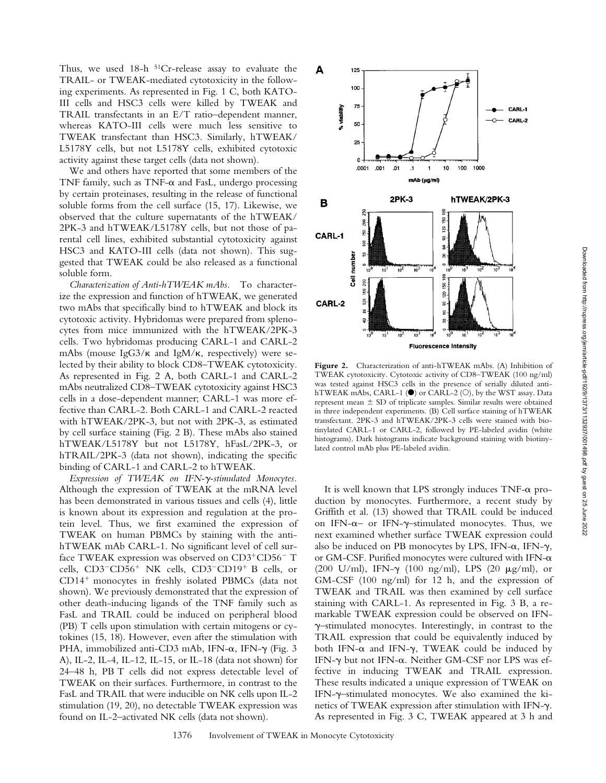Thus, we used 18-h <sup>51</sup>Cr-release assay to evaluate the TRAIL- or TWEAK-mediated cytotoxicity in the following experiments. As represented in Fig. 1 C, both KATO-III cells and HSC3 cells were killed by TWEAK and TRAIL transfectants in an E/T ratio–dependent manner, whereas KATO-III cells were much less sensitive to TWEAK transfectant than HSC3. Similarly, hTWEAK/ L5178Y cells, but not L5178Y cells, exhibited cytotoxic activity against these target cells (data not shown).

We and others have reported that some members of the TNF family, such as TNF- $\alpha$  and FasL, undergo processing by certain proteinases, resulting in the release of functional soluble forms from the cell surface (15, 17). Likewise, we observed that the culture supernatants of the hTWEAK/ 2PK-3 and hTWEAK/L5178Y cells, but not those of parental cell lines, exhibited substantial cytotoxicity against HSC3 and KATO-III cells (data not shown). This suggested that TWEAK could be also released as a functional soluble form.

*Characterization of Anti-hTWEAK mAbs.* To characterize the expression and function of hTWEAK, we generated two mAbs that specifically bind to hTWEAK and block its cytotoxic activity. Hybridomas were prepared from splenocytes from mice immunized with the hTWEAK/2PK-3 cells. Two hybridomas producing CARL-1 and CARL-2 mAbs (mouse IgG3/k and IgM/k, respectively) were selected by their ability to block CD8–TWEAK cytotoxicity. As represented in Fig. 2 A, both CARL-1 and CARL-2 mAbs neutralized CD8–TWEAK cytotoxicity against HSC3 cells in a dose-dependent manner; CARL-1 was more effective than CARL-2. Both CARL-1 and CARL-2 reacted with hTWEAK/2PK-3, but not with 2PK-3, as estimated by cell surface staining (Fig. 2 B). These mAbs also stained hTWEAK/L5178Y but not L5178Y, hFasL/2PK-3, or hTRAIL/2PK-3 (data not shown), indicating the specific binding of CARL-1 and CARL-2 to hTWEAK.

*Expression of TWEAK on IFN-*g*-stimulated Monocytes.* Although the expression of TWEAK at the mRNA level has been demonstrated in various tissues and cells (4), little is known about its expression and regulation at the protein level. Thus, we first examined the expression of TWEAK on human PBMCs by staining with the antihTWEAK mAb CARL-1. No significant level of cell surface TWEAK expression was observed on  $CD3+CD56-$  T cells,  $CD3$ <sup>-</sup> $CD56$ <sup>+</sup> NK cells,  $CD3$ <sup>- $CD19$ <sup>+</sup> B cells, or</sup> CD14<sup>+</sup> monocytes in freshly isolated PBMCs (data not shown). We previously demonstrated that the expression of other death-inducing ligands of the TNF family such as FasL and TRAIL could be induced on peripheral blood (PB) T cells upon stimulation with certain mitogens or cytokines (15, 18). However, even after the stimulation with PHA, immobilized anti-CD3 mAb, IFN- $\alpha$ , IFN- $\gamma$  (Fig. 3) A), IL-2, IL-4, IL-12, IL-15, or IL-18 (data not shown) for 24–48 h, PB T cells did not express detectable level of TWEAK on their surfaces. Furthermore, in contrast to the FasL and TRAIL that were inducible on NK cells upon IL-2 stimulation (19, 20), no detectable TWEAK expression was found on IL-2–activated NK cells (data not shown).



**Figure 2.** Characterization of anti-hTWEAK mAbs. (A) Inhibition of TWEAK cytotoxicity. Cytotoxic activity of CD8–TWEAK (100 ng/ml) was tested against HSC3 cells in the presence of serially diluted antihTWEAK mAbs, CARL-1 ( $\bullet$ ) or CARL-2 (O), by the WST assay. Data represent mean  $\pm$  SD of triplicate samples. Similar results were obtained in three independent experiments. (B) Cell surface staining of hTWEAK transfectant. 2PK-3 and hTWEAK/2PK-3 cells were stained with biotinylated CARL-1 or CARL-2, followed by PE-labeled avidin (white histograms). Dark histograms indicate background staining with biotinylated control mAb plus PE-labeled avidin.

It is well known that LPS strongly induces  $TNF-\alpha$  production by monocytes. Furthermore, a recent study by Griffith et al. (13) showed that TRAIL could be induced on IFN- $\alpha$ – or IFN- $\gamma$ –stimulated monocytes. Thus, we next examined whether surface TWEAK expression could also be induced on PB monocytes by LPS, IFN- $\alpha$ , IFN- $\gamma$ , or GM-CSF. Purified monocytes were cultured with IFN- $\alpha$ (200 U/ml), IFN- $\gamma$  (100 ng/ml), LPS (20  $\mu$ g/ml), or GM-CSF (100 ng/ml) for 12 h, and the expression of TWEAK and TRAIL was then examined by cell surface staining with CARL-1. As represented in Fig. 3 B, a remarkable TWEAK expression could be observed on IFN- $\gamma$ -stimulated monocytes. Interestingly, in contrast to the TRAIL expression that could be equivalently induced by both IFN- $\alpha$  and IFN- $\gamma$ , TWEAK could be induced by IFN- $\gamma$  but not IFN- $\alpha$ . Neither GM-CSF nor LPS was effective in inducing TWEAK and TRAIL expression. These results indicated a unique expression of TWEAK on IFN- $\gamma$ -stimulated monocytes. We also examined the kinetics of TWEAK expression after stimulation with IFN-g. As represented in Fig. 3 C, TWEAK appeared at 3 h and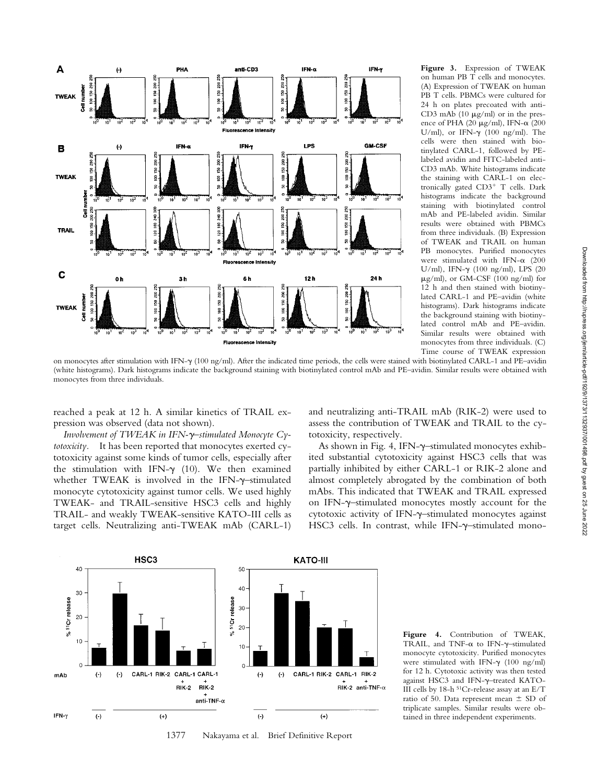

**Figure 3.** Expression of TWEAK on human PB T cells and monocytes. (A) Expression of TWEAK on human PB T cells. PBMCs were cultured for 24 h on plates precoated with anti-CD3 mAb (10  $\mu$ g/ml) or in the presence of PHA (20  $\mu$ g/ml), IFN- $\alpha$  (200 U/ml), or IFN- $\gamma$  (100 ng/ml). The cells were then stained with biotinylated CARL-1, followed by PElabeled avidin and FITC-labeled anti-CD3 mAb. White histograms indicate the staining with CARL-1 on electronically gated  $CD3^+$  T cells. Dark histograms indicate the background staining with biotinylated control mAb and PE-labeled avidin. Similar results were obtained with PBMCs from three individuals. (B) Expression of TWEAK and TRAIL on human PB monocytes. Purified monocytes were stimulated with IFN- $\alpha$  (200 U/ml), IFN-g (100 ng/ml), LPS (20  $\mu$ g/ml), or GM-CSF (100 ng/ml) for 12 h and then stained with biotinylated CARL-1 and PE–avidin (white histograms). Dark histograms indicate the background staining with biotinylated control mAb and PE–avidin. Similar results were obtained with monocytes from three individuals. (C) Time course of TWEAK expression

on monocytes after stimulation with IFN-y (100 ng/ml). After the indicated time periods, the cells were stained with biotinylated CARL-1 and PE–avidin (white histograms). Dark histograms indicate the background staining with biotinylated control mAb and PE–avidin. Similar results were obtained with monocytes from three individuals.

reached a peak at 12 h. A similar kinetics of TRAIL expression was observed (data not shown).

*Involvement of TWEAK in IFN-*g*–stimulated Monocyte Cytotoxicity.* It has been reported that monocytes exerted cytotoxicity against some kinds of tumor cells, especially after the stimulation with IFN- $\gamma$  (10). We then examined whether TWEAK is involved in the IFN- $\nu$ -stimulated monocyte cytotoxicity against tumor cells. We used highly TWEAK- and TRAIL-sensitive HSC3 cells and highly TRAIL- and weakly TWEAK-sensitive KATO-III cells as target cells. Neutralizing anti-TWEAK mAb (CARL-1) and neutralizing anti-TRAIL mAb (RIK-2) were used to assess the contribution of TWEAK and TRAIL to the cytotoxicity, respectively.

As shown in Fig. 4, IFN- $\gamma$ -stimulated monocytes exhibited substantial cytotoxicity against HSC3 cells that was partially inhibited by either CARL-1 or RIK-2 alone and almost completely abrogated by the combination of both mAbs. This indicated that TWEAK and TRAIL expressed on IFN- $\gamma$ -stimulated monocytes mostly account for the cytotoxic activity of IFN- $\gamma$ -stimulated monocytes against HSC3 cells. In contrast, while IFN-y-stimulated mono-



1377 Nakayama et al. Brief Definitive Report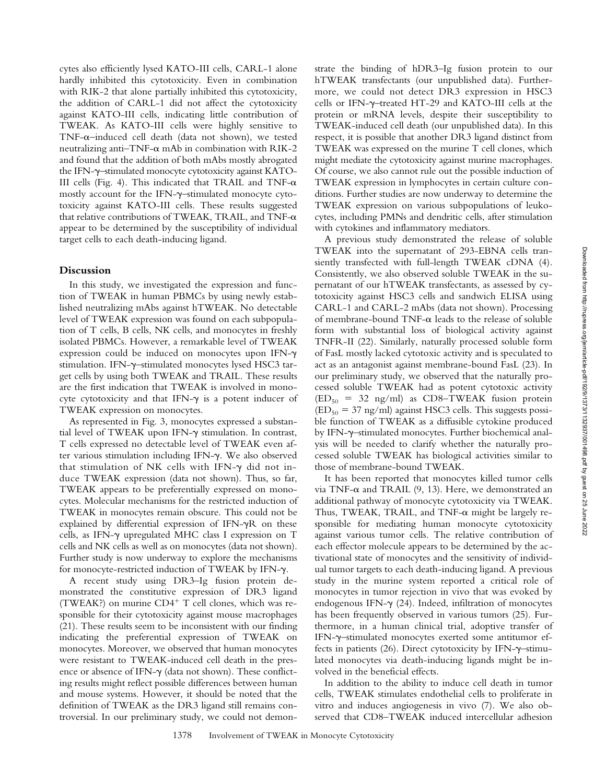cytes also efficiently lysed KATO-III cells, CARL-1 alone hardly inhibited this cytotoxicity. Even in combination with RIK-2 that alone partially inhibited this cytotoxicity, the addition of CARL-1 did not affect the cytotoxicity against KATO-III cells, indicating little contribution of TWEAK. As KATO-III cells were highly sensitive to TNF-a–induced cell death (data not shown), we tested neutralizing anti-TNF- $\alpha$  mAb in combination with RIK-2 and found that the addition of both mAbs mostly abrogated the IFN-γ-stimulated monocyte cytotoxicity against KATO-III cells (Fig. 4). This indicated that TRAIL and TNF- $\alpha$ mostly account for the IFN- $\gamma$ -stimulated monocyte cytotoxicity against KATO-III cells. These results suggested that relative contributions of TWEAK, TRAIL, and TNF- $\alpha$ appear to be determined by the susceptibility of individual target cells to each death-inducing ligand.

#### **Discussion**

In this study, we investigated the expression and function of TWEAK in human PBMCs by using newly established neutralizing mAbs against hTWEAK. No detectable level of TWEAK expression was found on each subpopulation of T cells, B cells, NK cells, and monocytes in freshly isolated PBMCs. However, a remarkable level of TWEAK expression could be induced on monocytes upon IFN-g stimulation. IFN- $\gamma$ -stimulated monocytes lysed HSC3 target cells by using both TWEAK and TRAIL. These results are the first indication that TWEAK is involved in monocyte cytotoxicity and that IFN- $\gamma$  is a potent inducer of TWEAK expression on monocytes.

As represented in Fig. 3, monocytes expressed a substantial level of TWEAK upon IFN-g stimulation. In contrast, T cells expressed no detectable level of TWEAK even after various stimulation including IFN-g. We also observed that stimulation of NK cells with IFN- $\gamma$  did not induce TWEAK expression (data not shown). Thus, so far, TWEAK appears to be preferentially expressed on monocytes. Molecular mechanisms for the restricted induction of TWEAK in monocytes remain obscure. This could not be explained by differential expression of IFN- $\gamma$ R on these cells, as IFN-g upregulated MHC class I expression on T cells and NK cells as well as on monocytes (data not shown). Further study is now underway to explore the mechanisms for monocyte-restricted induction of TWEAK by IFN-g.

A recent study using DR3–Ig fusion protein demonstrated the constitutive expression of DR3 ligand (TWEAK?) on murine  $CD4^+$  T cell clones, which was responsible for their cytotoxicity against mouse macrophages (21). These results seem to be inconsistent with our finding indicating the preferential expression of TWEAK on monocytes. Moreover, we observed that human monocytes were resistant to TWEAK-induced cell death in the presence or absence of IFN- $\gamma$  (data not shown). These conflicting results might reflect possible differences between human and mouse systems. However, it should be noted that the definition of TWEAK as the DR3 ligand still remains controversial. In our preliminary study, we could not demonstrate the binding of hDR3–Ig fusion protein to our hTWEAK transfectants (our unpublished data). Furthermore, we could not detect DR3 expression in HSC3 cells or IFN-g–treated HT-29 and KATO-III cells at the protein or mRNA levels, despite their susceptibility to TWEAK-induced cell death (our unpublished data). In this respect, it is possible that another DR3 ligand distinct from TWEAK was expressed on the murine T cell clones, which might mediate the cytotoxicity against murine macrophages. Of course, we also cannot rule out the possible induction of TWEAK expression in lymphocytes in certain culture conditions. Further studies are now underway to determine the TWEAK expression on various subpopulations of leukocytes, including PMNs and dendritic cells, after stimulation with cytokines and inflammatory mediators.

A previous study demonstrated the release of soluble TWEAK into the supernatant of 293-EBNA cells transiently transfected with full-length TWEAK cDNA (4). Consistently, we also observed soluble TWEAK in the supernatant of our hTWEAK transfectants, as assessed by cytotoxicity against HSC3 cells and sandwich ELISA using CARL-1 and CARL-2 mAbs (data not shown). Processing of membrane-bound  $TNF-\alpha$  leads to the release of soluble form with substantial loss of biological activity against TNFR-II (22). Similarly, naturally processed soluble form of FasL mostly lacked cytotoxic activity and is speculated to act as an antagonist against membrane-bound FasL (23). In our preliminary study, we observed that the naturally processed soluble TWEAK had as potent cytotoxic activity  $(ED_{50} = 32 \text{ ng/ml})$  as CD8–TWEAK fusion protein  $(ED_{50} = 37$  ng/ml) against HSC3 cells. This suggests possible function of TWEAK as a diffusible cytokine produced by IFN- $\gamma$ –stimulated monocytes. Further biochemical analysis will be needed to clarify whether the naturally processed soluble TWEAK has biological activities similar to those of membrane-bound TWEAK.

It has been reported that monocytes killed tumor cells via TNF- $\alpha$  and TRAIL (9, 13). Here, we demonstrated an additional pathway of monocyte cytotoxicity via TWEAK. Thus, TWEAK, TRAIL, and TNF- $\alpha$  might be largely responsible for mediating human monocyte cytotoxicity against various tumor cells. The relative contribution of each effector molecule appears to be determined by the activational state of monocytes and the sensitivity of individual tumor targets to each death-inducing ligand. A previous study in the murine system reported a critical role of monocytes in tumor rejection in vivo that was evoked by endogenous IFN-g (24). Indeed, infiltration of monocytes has been frequently observed in various tumors (25). Furthermore, in a human clinical trial, adoptive transfer of IFN-y-stimulated monocytes exerted some antitumor effects in patients  $(26)$ . Direct cytotoxicity by IFN- $\gamma$ -stimulated monocytes via death-inducing ligands might be involved in the beneficial effects.

In addition to the ability to induce cell death in tumor cells, TWEAK stimulates endothelial cells to proliferate in vitro and induces angiogenesis in vivo (7). We also observed that CD8–TWEAK induced intercellular adhesion